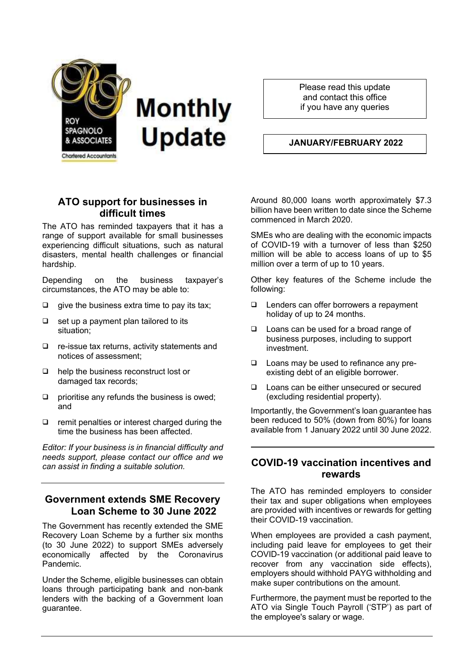

Please read this update and contact this office if you have any queries

#### JANUARY/FEBRUARY 2022

# ATO support for businesses in difficult times

The ATO has reminded taxpayers that it has a range of support available for small businesses experiencing difficult situations, such as natural disasters, mental health challenges or financial hardship.

Depending on the business taxpayer's circumstances, the ATO may be able to:

- $\Box$  give the business extra time to pay its tax;
- $\Box$  set up a payment plan tailored to its situation;
- $\Box$  re-issue tax returns, activity statements and notices of assessment;
- $\Box$  help the business reconstruct lost or damaged tax records;
- $\Box$  prioritise any refunds the business is owed: and
- $\Box$  remit penalties or interest charged during the time the business has been affected.

Editor: If your business is in financial difficulty and needs support, please contact our office and we can assist in finding a suitable solution.

# Government extends SME Recovery Loan Scheme to 30 June 2022

The Government has recently extended the SME Recovery Loan Scheme by a further six months (to 30 June 2022) to support SMEs adversely economically affected by the Coronavirus Pandemic.

Under the Scheme, eligible businesses can obtain loans through participating bank and non-bank lenders with the backing of a Government loan guarantee.

Around 80,000 loans worth approximately \$7.3 billion have been written to date since the Scheme commenced in March 2020.

SMEs who are dealing with the economic impacts of COVID-19 with a turnover of less than \$250 million will be able to access loans of up to \$5 million over a term of up to 10 years.

Other key features of the Scheme include the following:

- Lenders can offer borrowers a repayment holiday of up to 24 months.
- □ Loans can be used for a broad range of business purposes, including to support investment.
- □ Loans may be used to refinance any preexisting debt of an eligible borrower.
- □ Loans can be either unsecured or secured (excluding residential property).

Importantly, the Government's loan guarantee has been reduced to 50% (down from 80%) for loans available from 1 January 2022 until 30 June 2022.

### COVID-19 vaccination incentives and rewards

The ATO has reminded employers to consider their tax and super obligations when employees are provided with incentives or rewards for getting their COVID-19 vaccination.

When employees are provided a cash payment, including paid leave for employees to get their COVID-19 vaccination (or additional paid leave to recover from any vaccination side effects), employers should withhold PAYG withholding and make super contributions on the amount.

Furthermore, the payment must be reported to the ATO via Single Touch Payroll ('STP') as part of the employee's salary or wage.